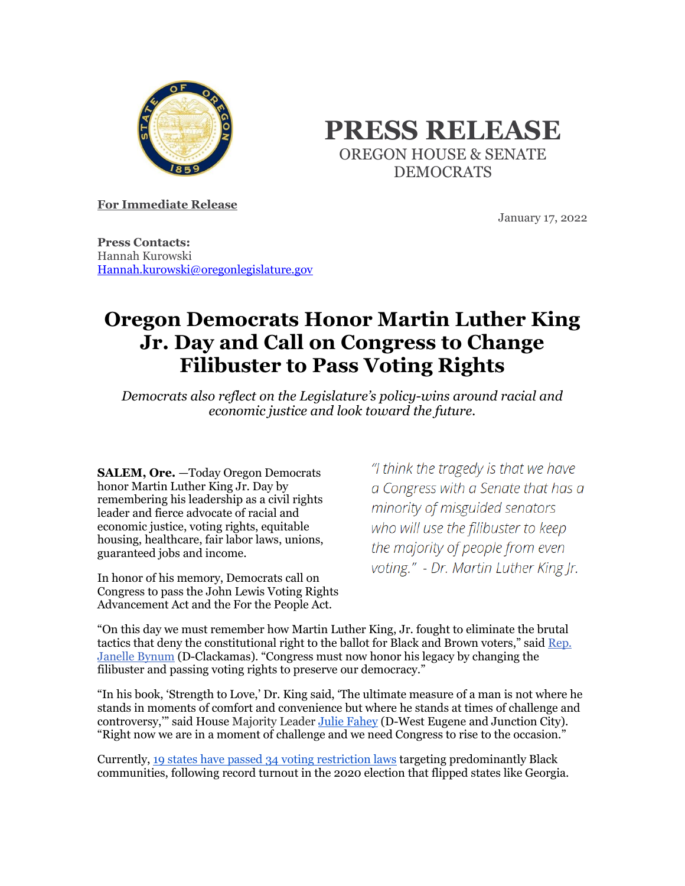

## **PRESS RELEASE** OREGON HOUSE & SENATE DEMOCRATS

**For Immediate Release**

January 17, 2022

**Press Contacts:** Hannah Kurowski [Hannah.kurowski@oregonlegislature.gov](mailto:Hannah.kurowski@oregonlegislature.gov)

## **Oregon Democrats Honor Martin Luther King Jr. Day and Call on Congress to Change Filibuster to Pass Voting Rights**

*Democrats also reflect on the Legislature's policy-wins around racial and economic justice and look toward the future.*

**SALEM, Ore.** —Today Oregon Democrats honor Martin Luther King Jr. Day by remembering his leadership as a civil rights leader and fierce advocate of racial and economic justice, voting rights, equitable housing, healthcare, fair labor laws, unions, guaranteed jobs and income.

In honor of his memory, Democrats call on Congress to pass the John Lewis Voting Rights Advancement Act and the For the People Act.

"I think the tragedy is that we have a Congress with a Senate that has a minority of misguided senators who will use the filibuster to keep the majority of people from even voting." - Dr. Martin Luther King Jr.

"On this day we must remember how Martin Luther King, Jr. fought to eliminate the brutal tactics that deny the constitutional right to the ballot for Black and Brown voters," said [Rep.](https://www.oregonlegislature.gov/bynum)  [Janelle Bynum](https://www.oregonlegislature.gov/bynum) (D-Clackamas). "Congress must now honor his legacy by changing the filibuster and passing voting rights to preserve our democracy."

"In his book, 'Strength to Love,' Dr. King said, 'The ultimate measure of a man is not where he stands in moments of comfort and convenience but where he stands at times of challenge and controversy," said House Majority Leade[r Julie Fahey](https://www.oregonlegislature.gov/fahey) (D-West Eugene and Junction City). "Right now we are in a moment of challenge and we need Congress to rise to the occasion."

Currently, [19 states have passed 34 voting restriction laws](https://gcc02.safelinks.protection.outlook.com/?url=https%3A%2F%2Fwww.brennancenter.org%2Four-work%2Fresearch-reports%2Fvoting-laws-roundup-december-2021&data=04%7C01%7CHannah.Kurowski%40oregonlegislature.gov%7C69e24d27637f4aa01fae08d9d9ff7512%7C489a9c84574a48c7b72a2450511334cc%7C1%7C0%7C637780513488170384%7CUnknown%7CTWFpbGZsb3d8eyJWIjoiMC4wLjAwMDAiLCJQIjoiV2luMzIiLCJBTiI6Ik1haWwiLCJXVCI6Mn0%3D%7C3000&sdata=L%2BSvxgbp%2B7rnnx7oPeez%2Bl8ZbIsAyN4U7nGqqBtBfj4%3D&reserved=0) targeting predominantly Black communities, following record turnout in the 2020 election that flipped states like Georgia.